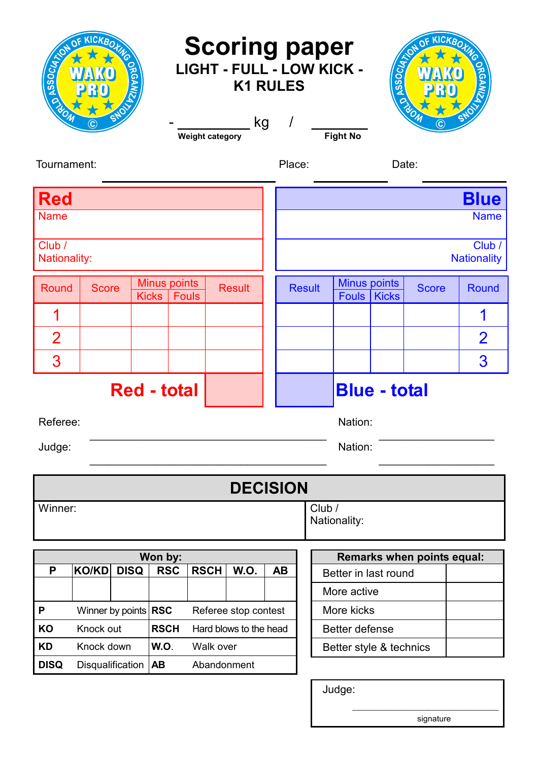| KICKBOTHC<br>KICKBOXMG<br><b>Scoring paper</b><br><b>ANSSOCIA</b><br><b>ASSOCIA</b><br>LIGHT - FULL - LOW KICK -<br><b>K1 RULES</b><br>ELON<br>kg<br>$\prime$<br>$\left[ \mathbf{C}\right]$<br>C<br><b>Fight No</b><br><b>Weight category</b> |                                                 |                              |                        |                     |                              |             |               |                         |                                     |                                   |              |                |
|-----------------------------------------------------------------------------------------------------------------------------------------------------------------------------------------------------------------------------------------------|-------------------------------------------------|------------------------------|------------------------|---------------------|------------------------------|-------------|---------------|-------------------------|-------------------------------------|-----------------------------------|--------------|----------------|
| Tournament:                                                                                                                                                                                                                                   |                                                 |                              |                        |                     |                              | Place:      |               |                         |                                     | Date:                             |              |                |
| <b>Red</b>                                                                                                                                                                                                                                    |                                                 |                              |                        |                     |                              | <b>Blue</b> |               |                         |                                     |                                   |              |                |
| <b>Name</b>                                                                                                                                                                                                                                   |                                                 |                              |                        |                     |                              | <b>Name</b> |               |                         |                                     |                                   |              |                |
| Club /<br>Nationality:                                                                                                                                                                                                                        |                                                 |                              |                        |                     | Club /<br><b>Nationality</b> |             |               |                         |                                     |                                   |              |                |
| Round                                                                                                                                                                                                                                         | <b>Score</b>                                    | Minus points<br><b>Kicks</b> | <b>Fouls</b>           | <b>Result</b>       |                              |             | <b>Result</b> |                         | <b>Minus points</b><br><b>Fouls</b> | <b>Kicks</b>                      | <b>Score</b> | Round          |
|                                                                                                                                                                                                                                               |                                                 |                              |                        |                     |                              |             |               |                         |                                     |                                   |              | 1              |
| $\overline{2}$                                                                                                                                                                                                                                |                                                 |                              |                        |                     |                              |             |               |                         |                                     |                                   |              | $\overline{2}$ |
| 3                                                                                                                                                                                                                                             |                                                 |                              |                        |                     |                              |             |               |                         |                                     |                                   |              | 3              |
| <b>Red - total</b>                                                                                                                                                                                                                            |                                                 |                              |                        |                     | <b>Blue - total</b>          |             |               |                         |                                     |                                   |              |                |
| Referee:                                                                                                                                                                                                                                      |                                                 |                              |                        |                     | Nation:                      |             |               |                         |                                     |                                   |              |                |
| Judge:                                                                                                                                                                                                                                        |                                                 |                              |                        |                     | Nation:                      |             |               |                         |                                     |                                   |              |                |
|                                                                                                                                                                                                                                               |                                                 |                              |                        |                     |                              |             |               |                         |                                     |                                   |              |                |
| <b>DECISION</b>                                                                                                                                                                                                                               |                                                 |                              |                        |                     |                              |             |               |                         |                                     |                                   |              |                |
| Winner:                                                                                                                                                                                                                                       |                                                 |                              |                        |                     |                              |             |               | Club /                  | Nationality:                        |                                   |              |                |
| Won by:                                                                                                                                                                                                                                       |                                                 |                              |                        |                     |                              |             |               |                         |                                     | <b>Remarks when points equal:</b> |              |                |
| P                                                                                                                                                                                                                                             | <b>KO/KD</b>                                    | <b>DISQ</b><br><b>RSC</b>    |                        | <b>RSCH</b><br>W.O. |                              | <b>AB</b>   |               |                         |                                     | Better in last round              |              |                |
|                                                                                                                                                                                                                                               |                                                 |                              |                        |                     |                              |             |               |                         | More active                         |                                   |              |                |
| P                                                                                                                                                                                                                                             | Winner by points $ RSC$<br>Referee stop contest |                              |                        |                     |                              |             |               | More kicks              |                                     |                                   |              |                |
| KO                                                                                                                                                                                                                                            | Knock out                                       | <b>RSCH</b>                  | Hard blows to the head |                     |                              |             |               | <b>Better defense</b>   |                                     |                                   |              |                |
| <b>KD</b>                                                                                                                                                                                                                                     | Knock down                                      | <b>W.O.</b>                  |                        | Walk over           |                              |             |               | Better style & technics |                                     |                                   |              |                |
| <b>DISQ</b>                                                                                                                                                                                                                                   | Disqualification                                | <b>AB</b>                    |                        | Abandonment         |                              |             |               |                         |                                     |                                   |              |                |
|                                                                                                                                                                                                                                               |                                                 |                              |                        |                     |                              |             |               |                         | Judge:                              |                                   |              |                |

\_\_\_\_\_\_\_\_\_\_\_\_\_\_\_\_\_\_\_\_\_\_\_\_\_\_\_